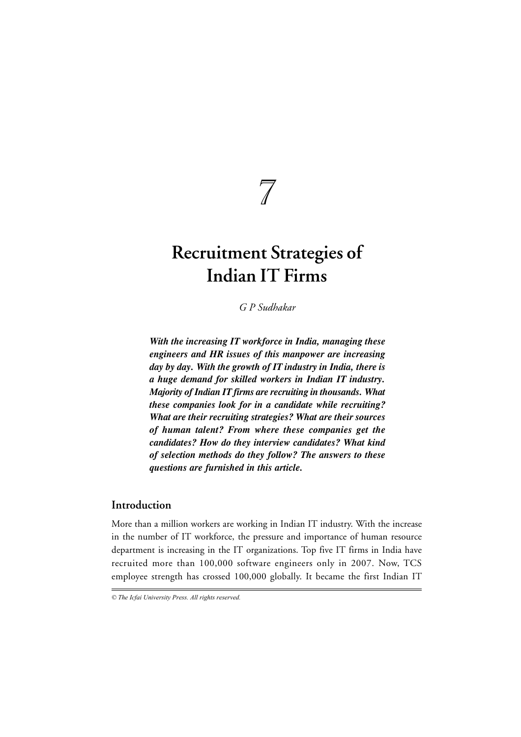$\overline{\mathcal{M}}$ 

# **Recruitment Strategies of Indian IT Firms**

*G P Sudhakar*

*With the increasing IT workforce in India, managing these engineers and HR issues of this manpower are increasing day by day. With the growth of IT industry in India, there is a huge demand for skilled workers in Indian IT industry. Majority of Indian IT firms are recruiting in thousands. What these companies look for in a candidate while recruiting? What are their recruiting strategies? What are their sources of human talent? From where these companies get the candidates? How do they interview candidates? What kind of selection methods do they follow? The answers to these questions are furnished in this article.*

# **Introduction**

More than a million workers are working in Indian IT industry. With the increase in the number of IT workforce, the pressure and importance of human resource department is increasing in the IT organizations. Top five IT firms in India have recruited more than 100,000 software engineers only in 2007. Now, TCS employee strength has crossed 100,000 globally. It became the first Indian IT

*<sup>©</sup> The Icfai University Press. All rights reserved.*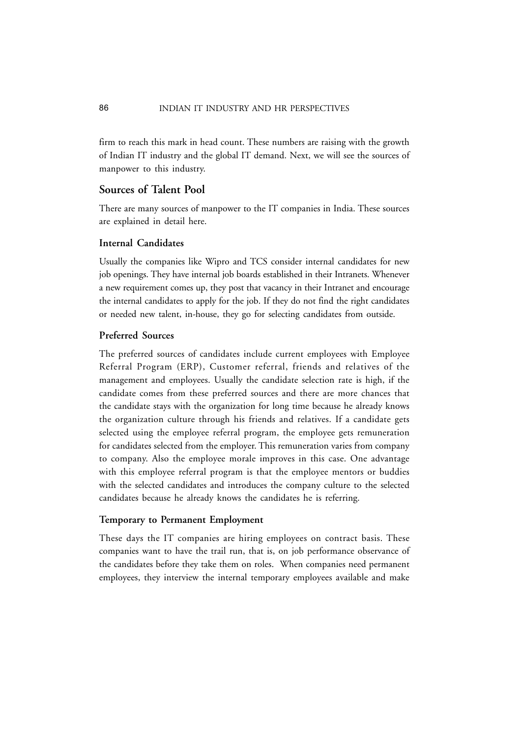firm to reach this mark in head count. These numbers are raising with the growth of Indian IT industry and the global IT demand. Next, we will see the sources of manpower to this industry.

# **Sources of Talent Pool**

There are many sources of manpower to the IT companies in India. These sources are explained in detail here.

### **Internal Candidates**

Usually the companies like Wipro and TCS consider internal candidates for new job openings. They have internal job boards established in their Intranets. Whenever a new requirement comes up, they post that vacancy in their Intranet and encourage the internal candidates to apply for the job. If they do not find the right candidates or needed new talent, in-house, they go for selecting candidates from outside.

## **Preferred Sources**

The preferred sources of candidates include current employees with Employee Referral Program (ERP), Customer referral, friends and relatives of the management and employees. Usually the candidate selection rate is high, if the candidate comes from these preferred sources and there are more chances that the candidate stays with the organization for long time because he already knows the organization culture through his friends and relatives. If a candidate gets selected using the employee referral program, the employee gets remuneration for candidates selected from the employer. This remuneration varies from company to company. Also the employee morale improves in this case. One advantage with this employee referral program is that the employee mentors or buddies with the selected candidates and introduces the company culture to the selected candidates because he already knows the candidates he is referring.

#### **Temporary to Permanent Employment**

These days the IT companies are hiring employees on contract basis. These companies want to have the trail run, that is, on job performance observance of the candidates before they take them on roles. When companies need permanent employees, they interview the internal temporary employees available and make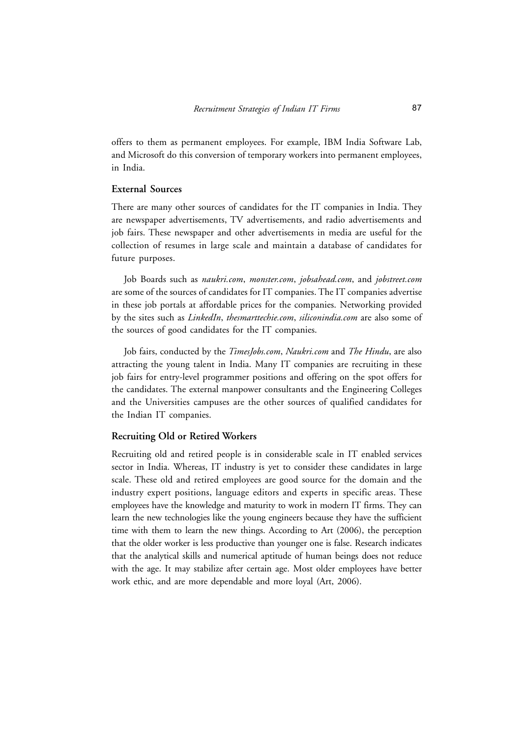offers to them as permanent employees. For example, IBM India Software Lab, and Microsoft do this conversion of temporary workers into permanent employees, in India.

### **External Sources**

There are many other sources of candidates for the IT companies in India. They are newspaper advertisements, TV advertisements, and radio advertisements and job fairs. These newspaper and other advertisements in media are useful for the collection of resumes in large scale and maintain a database of candidates for future purposes.

Job Boards such as *naukri.com*, *monster.com*, *jobsahead.com*, and *jobstreet.com* are some of the sources of candidates for IT companies. The IT companies advertise in these job portals at affordable prices for the companies. Networking provided by the sites such as *LinkedIn*, *thesmarttechie.com*, *siliconindia.com* are also some of the sources of good candidates for the IT companies.

Job fairs, conducted by the *TimesJobs.com*, *Naukri.com* and *The Hindu*, are also attracting the young talent in India. Many IT companies are recruiting in these job fairs for entry-level programmer positions and offering on the spot offers for the candidates. The external manpower consultants and the Engineering Colleges and the Universities campuses are the other sources of qualified candidates for the Indian IT companies.

#### **Recruiting Old or Retired Workers**

Recruiting old and retired people is in considerable scale in IT enabled services sector in India. Whereas, IT industry is yet to consider these candidates in large scale. These old and retired employees are good source for the domain and the industry expert positions, language editors and experts in specific areas. These employees have the knowledge and maturity to work in modern IT firms. They can learn the new technologies like the young engineers because they have the sufficient time with them to learn the new things. According to Art (2006), the perception that the older worker is less productive than younger one is false. Research indicates that the analytical skills and numerical aptitude of human beings does not reduce with the age. It may stabilize after certain age. Most older employees have better work ethic, and are more dependable and more loyal (Art, 2006).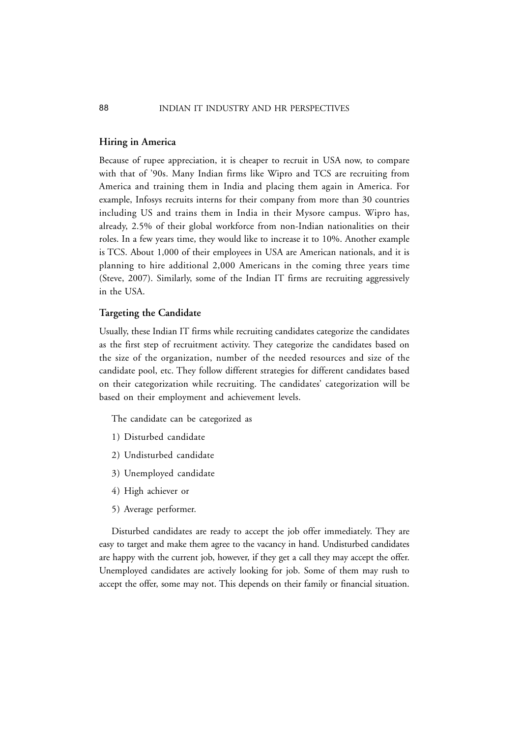#### **Hiring in America**

Because of rupee appreciation, it is cheaper to recruit in USA now, to compare with that of '90s. Many Indian firms like Wipro and TCS are recruiting from America and training them in India and placing them again in America. For example, Infosys recruits interns for their company from more than 30 countries including US and trains them in India in their Mysore campus. Wipro has, already, 2.5% of their global workforce from non-Indian nationalities on their roles. In a few years time, they would like to increase it to 10%. Another example is TCS. About 1,000 of their employees in USA are American nationals, and it is planning to hire additional 2,000 Americans in the coming three years time (Steve, 2007). Similarly, some of the Indian IT firms are recruiting aggressively in the USA.

### **Targeting the Candidate**

Usually, these Indian IT firms while recruiting candidates categorize the candidates as the first step of recruitment activity. They categorize the candidates based on the size of the organization, number of the needed resources and size of the candidate pool, etc. They follow different strategies for different candidates based on their categorization while recruiting. The candidates' categorization will be based on their employment and achievement levels.

The candidate can be categorized as

- 1) Disturbed candidate
- 2) Undisturbed candidate
- 3) Unemployed candidate
- 4) High achiever or
- 5) Average performer.

Disturbed candidates are ready to accept the job offer immediately. They are easy to target and make them agree to the vacancy in hand. Undisturbed candidates are happy with the current job, however, if they get a call they may accept the offer. Unemployed candidates are actively looking for job. Some of them may rush to accept the offer, some may not. This depends on their family or financial situation.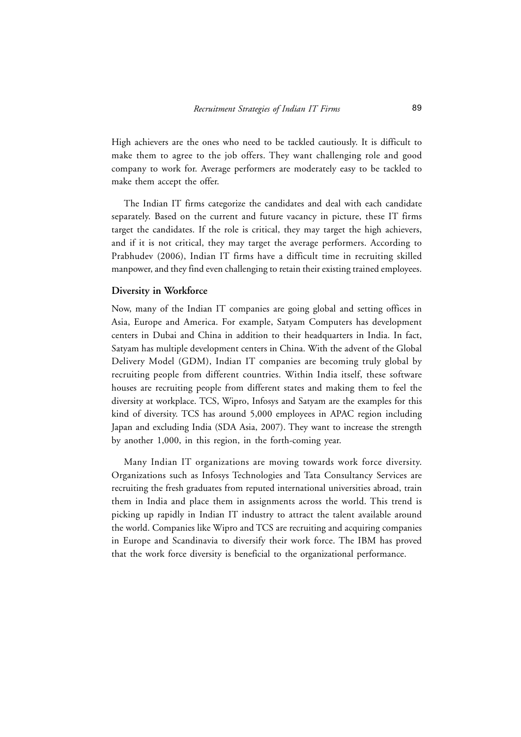High achievers are the ones who need to be tackled cautiously. It is difficult to make them to agree to the job offers. They want challenging role and good company to work for. Average performers are moderately easy to be tackled to make them accept the offer.

The Indian IT firms categorize the candidates and deal with each candidate separately. Based on the current and future vacancy in picture, these IT firms target the candidates. If the role is critical, they may target the high achievers, and if it is not critical, they may target the average performers. According to Prabhudev (2006), Indian IT firms have a difficult time in recruiting skilled manpower, and they find even challenging to retain their existing trained employees.

#### **Diversity in Workforce**

Now, many of the Indian IT companies are going global and setting offices in Asia, Europe and America. For example, Satyam Computers has development centers in Dubai and China in addition to their headquarters in India. In fact, Satyam has multiple development centers in China. With the advent of the Global Delivery Model (GDM), Indian IT companies are becoming truly global by recruiting people from different countries. Within India itself, these software houses are recruiting people from different states and making them to feel the diversity at workplace. TCS, Wipro, Infosys and Satyam are the examples for this kind of diversity. TCS has around 5,000 employees in APAC region including Japan and excluding India (SDA Asia, 2007). They want to increase the strength by another 1,000, in this region, in the forth-coming year.

Many Indian IT organizations are moving towards work force diversity. Organizations such as Infosys Technologies and Tata Consultancy Services are recruiting the fresh graduates from reputed international universities abroad, train them in India and place them in assignments across the world. This trend is picking up rapidly in Indian IT industry to attract the talent available around the world. Companies like Wipro and TCS are recruiting and acquiring companies in Europe and Scandinavia to diversify their work force. The IBM has proved that the work force diversity is beneficial to the organizational performance.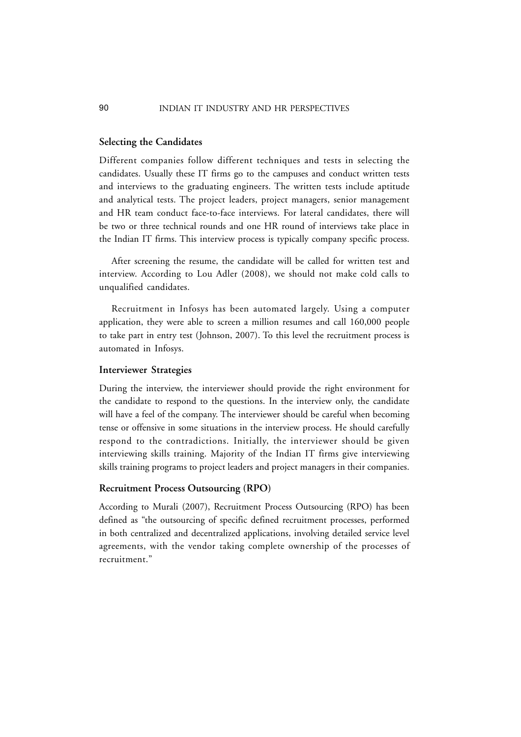#### 90 INDIAN IT INDUSTRY AND HR PERSPECTIVES

#### **Selecting the Candidates**

Different companies follow different techniques and tests in selecting the candidates. Usually these IT firms go to the campuses and conduct written tests and interviews to the graduating engineers. The written tests include aptitude and analytical tests. The project leaders, project managers, senior management and HR team conduct face-to-face interviews. For lateral candidates, there will be two or three technical rounds and one HR round of interviews take place in the Indian IT firms. This interview process is typically company specific process.

After screening the resume, the candidate will be called for written test and interview. According to Lou Adler (2008), we should not make cold calls to unqualified candidates.

Recruitment in Infosys has been automated largely. Using a computer application, they were able to screen a million resumes and call 160,000 people to take part in entry test (Johnson, 2007). To this level the recruitment process is automated in Infosys.

#### **Interviewer Strategies**

During the interview, the interviewer should provide the right environment for the candidate to respond to the questions. In the interview only, the candidate will have a feel of the company. The interviewer should be careful when becoming tense or offensive in some situations in the interview process. He should carefully respond to the contradictions. Initially, the interviewer should be given interviewing skills training. Majority of the Indian IT firms give interviewing skills training programs to project leaders and project managers in their companies.

#### **Recruitment Process Outsourcing (RPO)**

According to Murali (2007), Recruitment Process Outsourcing (RPO) has been defined as "the outsourcing of specific defined recruitment processes, performed in both centralized and decentralized applications, involving detailed service level agreements, with the vendor taking complete ownership of the processes of recruitment."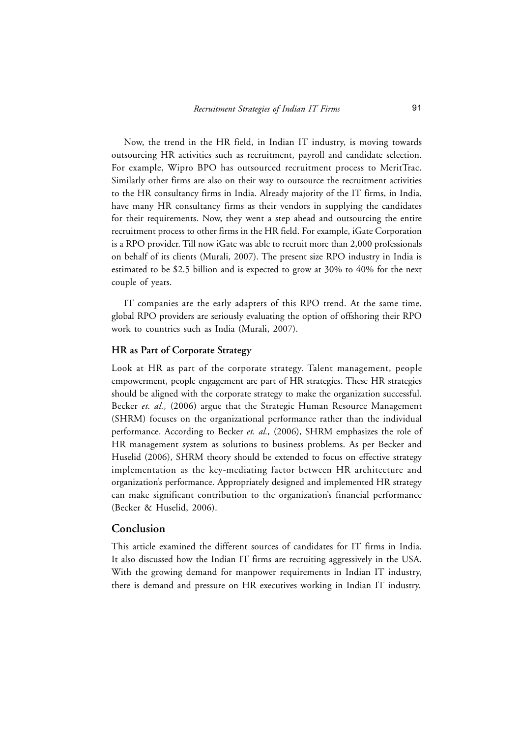Now, the trend in the HR field, in Indian IT industry, is moving towards outsourcing HR activities such as recruitment, payroll and candidate selection. For example, Wipro BPO has outsourced recruitment process to MeritTrac. Similarly other firms are also on their way to outsource the recruitment activities to the HR consultancy firms in India. Already majority of the IT firms, in India, have many HR consultancy firms as their vendors in supplying the candidates for their requirements. Now, they went a step ahead and outsourcing the entire recruitment process to other firms in the HR field. For example, iGate Corporation is a RPO provider. Till now iGate was able to recruit more than 2,000 professionals on behalf of its clients (Murali, 2007). The present size RPO industry in India is estimated to be \$2.5 billion and is expected to grow at 30% to 40% for the next couple of years.

IT companies are the early adapters of this RPO trend. At the same time, global RPO providers are seriously evaluating the option of offshoring their RPO work to countries such as India (Murali, 2007).

# **HR as Part of Corporate Strategy**

Look at HR as part of the corporate strategy. Talent management, people empowerment, people engagement are part of HR strategies. These HR strategies should be aligned with the corporate strategy to make the organization successful. Becker *et. al.,* (2006) argue that the Strategic Human Resource Management (SHRM) focuses on the organizational performance rather than the individual performance. According to Becker *et. al.,* (2006), SHRM emphasizes the role of HR management system as solutions to business problems. As per Becker and Huselid (2006), SHRM theory should be extended to focus on effective strategy implementation as the key-mediating factor between HR architecture and organization's performance. Appropriately designed and implemented HR strategy can make significant contribution to the organization's financial performance (Becker & Huselid, 2006).

## **Conclusion**

This article examined the different sources of candidates for IT firms in India. It also discussed how the Indian IT firms are recruiting aggressively in the USA. With the growing demand for manpower requirements in Indian IT industry, there is demand and pressure on HR executives working in Indian IT industry.